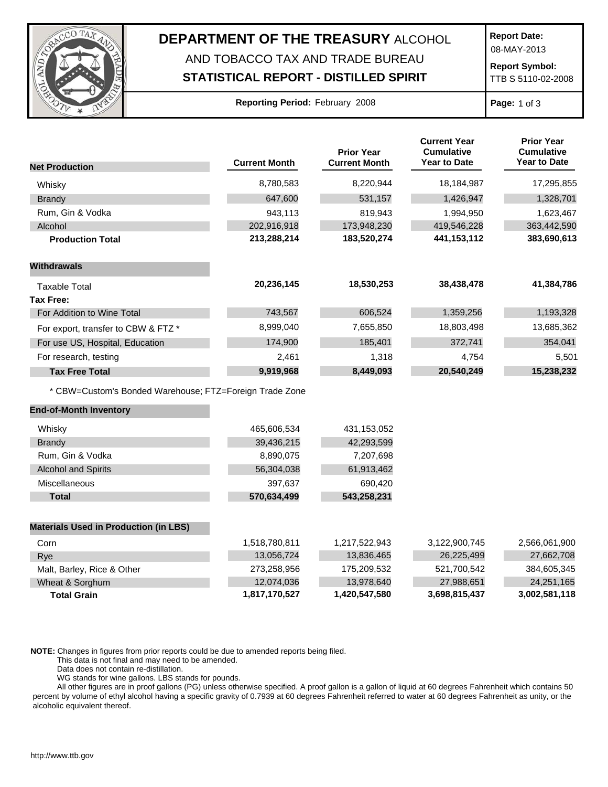

## **DEPARTMENT OF THE TREASURY** ALCOHOL AND TOBACCO TAX AND TRADE BUREAU

## **STATISTICAL REPORT - DISTILLED SPIRIT**

**Report Date:**

08-MAY-2013

**Report Symbol:** TTB S 5110-02-2008

| Reporting Period: February 2008 |  |  |  |  |
|---------------------------------|--|--|--|--|
|---------------------------------|--|--|--|--|

**Page:** 1 of 3

|                                                         | <b>Current Month</b> | <b>Prior Year</b><br><b>Current Month</b> | <b>Current Year</b><br><b>Cumulative</b><br>Year to Date | <b>Prior Year</b><br><b>Cumulative</b><br><b>Year to Date</b> |
|---------------------------------------------------------|----------------------|-------------------------------------------|----------------------------------------------------------|---------------------------------------------------------------|
| <b>Net Production</b>                                   |                      |                                           |                                                          |                                                               |
| Whisky                                                  | 8,780,583            | 8,220,944                                 | 18,184,987                                               | 17,295,855                                                    |
| <b>Brandy</b>                                           | 647,600              | 531,157                                   | 1,426,947                                                | 1,328,701                                                     |
| Rum, Gin & Vodka                                        | 943,113              | 819,943                                   | 1,994,950                                                | 1,623,467                                                     |
| Alcohol                                                 | 202,916,918          | 173,948,230                               | 419,546,228                                              | 363,442,590                                                   |
| <b>Production Total</b>                                 | 213,288,214          | 183,520,274                               | 441, 153, 112                                            | 383,690,613                                                   |
| <b>Withdrawals</b>                                      |                      |                                           |                                                          |                                                               |
| <b>Taxable Total</b>                                    | 20,236,145           | 18,530,253                                | 38,438,478                                               | 41,384,786                                                    |
| <b>Tax Free:</b>                                        |                      |                                           |                                                          |                                                               |
| For Addition to Wine Total                              | 743,567              | 606,524                                   | 1,359,256                                                | 1,193,328                                                     |
| For export, transfer to CBW & FTZ *                     | 8,999,040            | 7,655,850                                 | 18,803,498                                               | 13,685,362                                                    |
| For use US, Hospital, Education                         | 174,900              | 185,401                                   | 372,741                                                  | 354,041                                                       |
| For research, testing                                   | 2,461                | 1,318                                     | 4,754                                                    | 5,501                                                         |
| <b>Tax Free Total</b>                                   | 9,919,968            | 8,449,093                                 | 20,540,249                                               | 15,238,232                                                    |
| * CBW=Custom's Bonded Warehouse; FTZ=Foreign Trade Zone |                      |                                           |                                                          |                                                               |
| <b>End-of-Month Inventory</b>                           |                      |                                           |                                                          |                                                               |
| Whisky                                                  | 465,606,534          | 431,153,052                               |                                                          |                                                               |
| <b>Brandy</b>                                           | 39,436,215           | 42,293,599                                |                                                          |                                                               |
| Rum, Gin & Vodka                                        | 8,890,075            | 7,207,698                                 |                                                          |                                                               |
| <b>Alcohol and Spirits</b>                              | 56,304,038           | 61,913,462                                |                                                          |                                                               |
| Miscellaneous                                           | 397,637              | 690,420                                   |                                                          |                                                               |
| <b>Total</b>                                            | 570,634,499          | 543,258,231                               |                                                          |                                                               |
| <b>Materials Used in Production (in LBS)</b>            |                      |                                           |                                                          |                                                               |
| Corn                                                    | 1,518,780,811        | 1,217,522,943                             | 3,122,900,745                                            | 2,566,061,900                                                 |
| Rye                                                     | 13,056,724           | 13,836,465                                | 26,225,499                                               | 27,662,708                                                    |
| Malt, Barley, Rice & Other                              | 273,258,956          | 175,209,532                               | 521,700,542                                              | 384,605,345                                                   |
| Wheat & Sorghum                                         | 12,074,036           | 13,978,640                                | 27,988,651                                               | 24,251,165                                                    |
| <b>Total Grain</b>                                      | 1,817,170,527        | 1,420,547,580                             | 3,698,815,437                                            | 3,002,581,118                                                 |

**NOTE:** Changes in figures from prior reports could be due to amended reports being filed.

This data is not final and may need to be amended.

Data does not contain re-distillation.

WG stands for wine gallons. LBS stands for pounds.

All other figures are in proof gallons (PG) unless otherwise specified. A proof gallon is a gallon of liquid at 60 degrees Fahrenheit which contains 50 percent by volume of ethyl alcohol having a specific gravity of 0.7939 at 60 degrees Fahrenheit referred to water at 60 degrees Fahrenheit as unity, or the alcoholic equivalent thereof.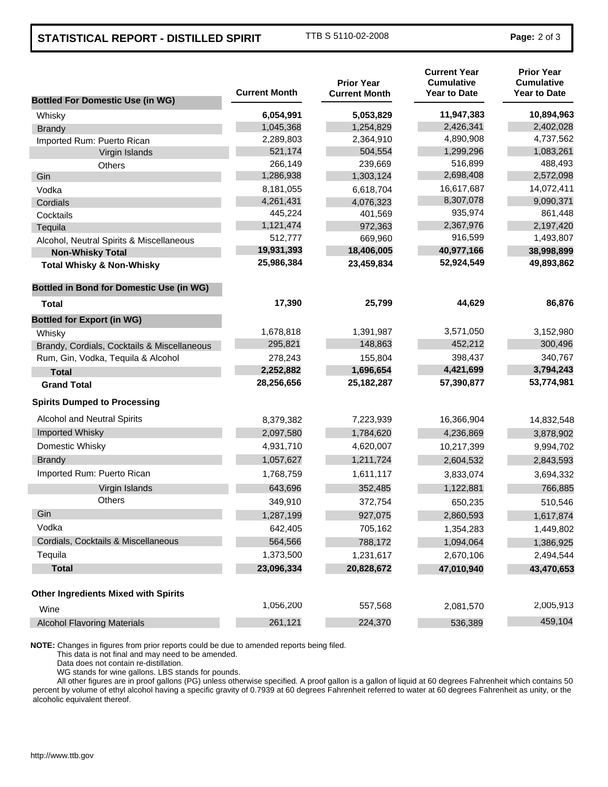## **STATISTICAL REPORT - DISTILLED SPIRIT** TTB S 5110-02-2008 **Page: 2 of 3**

| <b>Bottled For Domestic Use (in WG)</b>         | <b>Current Month</b> | <b>Prior Year</b><br><b>Current Month</b> | <b>Current Year</b><br><b>Cumulative</b><br><b>Year to Date</b> | <b>Prior Year</b><br><b>Cumulative</b><br><b>Year to Date</b> |
|-------------------------------------------------|----------------------|-------------------------------------------|-----------------------------------------------------------------|---------------------------------------------------------------|
| Whisky                                          | 6,054,991            | 5,053,829                                 | 11,947,383                                                      | 10,894,963                                                    |
| <b>Brandy</b>                                   | 1,045,368            | 1,254,829                                 | 2,426,341                                                       | 2,402,028                                                     |
| Imported Rum: Puerto Rican                      | 2,289,803            | 2,364,910                                 | 4,890,908                                                       | 4,737,562                                                     |
| Virgin Islands                                  | 521,174              | 504,554                                   | 1,299,296                                                       | 1,083,261                                                     |
| Others                                          | 266,149              | 239,669                                   | 516,899                                                         | 488,493                                                       |
| Gin                                             | 1,286,938            | 1,303,124                                 | 2,698,408                                                       | 2,572,098                                                     |
| Vodka                                           | 8,181,055            | 6,618,704                                 | 16,617,687                                                      | 14,072,411                                                    |
| Cordials                                        | 4,261,431            | 4,076,323                                 | 8,307,078                                                       | 9,090,371                                                     |
| Cocktails                                       | 445,224              | 401,569                                   | 935,974                                                         | 861,448                                                       |
| Tequila                                         | 1,121,474            | 972,363                                   | 2,367,976                                                       | 2,197,420                                                     |
| Alcohol, Neutral Spirits & Miscellaneous        | 512,777              | 669,960                                   | 916,599                                                         | 1,493,807                                                     |
| <b>Non-Whisky Total</b>                         | 19,931,393           | 18,406,005                                | 40,977,166                                                      | 38,998,899                                                    |
| <b>Total Whisky &amp; Non-Whisky</b>            | 25,986,384           | 23,459,834                                | 52,924,549                                                      | 49,893,862                                                    |
| <b>Bottled in Bond for Domestic Use (in WG)</b> |                      |                                           |                                                                 |                                                               |
| <b>Total</b>                                    | 17,390               | 25,799                                    | 44,629                                                          | 86,876                                                        |
| <b>Bottled for Export (in WG)</b>               |                      |                                           |                                                                 |                                                               |
| Whisky                                          | 1,678,818            | 1,391,987                                 | 3,571,050                                                       | 3,152,980                                                     |
| Brandy, Cordials, Cocktails & Miscellaneous     | 295,821              | 148,863                                   | 452,212                                                         | 300,496                                                       |
| Rum, Gin, Vodka, Tequila & Alcohol              | 278,243              | 155,804                                   | 398,437                                                         | 340,767                                                       |
| <b>Total</b>                                    | 2,252,882            | 1,696,654                                 | 4,421,699                                                       | 3,794,243                                                     |
| <b>Grand Total</b>                              | 28,256,656           | 25, 182, 287                              | 57,390,877                                                      | 53,774,981                                                    |
| <b>Spirits Dumped to Processing</b>             |                      |                                           |                                                                 |                                                               |
| Alcohol and Neutral Spirits                     | 8,379,382            | 7,223,939                                 | 16,366,904                                                      | 14,832,548                                                    |
| Imported Whisky                                 | 2,097,580            | 1,784,620                                 | 4,236,869                                                       | 3,878,902                                                     |
| Domestic Whisky                                 | 4,931,710            | 4,620,007                                 | 10,217,399                                                      | 9,994,702                                                     |
| <b>Brandy</b>                                   | 1,057,627            | 1,211,724                                 | 2,604,532                                                       | 2,843,593                                                     |
| Imported Rum: Puerto Rican                      | 1,768,759            | 1,611,117                                 | 3,833,074                                                       | 3,694,332                                                     |
| Virgin Islands                                  | 643,696              | 352,485                                   | 1,122,881                                                       | 766,885                                                       |
| <b>Others</b>                                   | 349,910              | 372,754                                   | 650,235                                                         | 510,546                                                       |
| Gin                                             | 1,287,199            | 927,075                                   | 2,860,593                                                       | 1,617,874                                                     |
| Vodka                                           | 642,405              | 705,162                                   | 1,354,283                                                       | 1,449,802                                                     |
| Cordials, Cocktails & Miscellaneous             | 564,566              | 788,172                                   | 1,094,064                                                       | 1,386,925                                                     |
| Tequila                                         | 1,373,500            | 1,231,617                                 | 2,670,106                                                       | 2,494,544                                                     |
| <b>Total</b>                                    | 23,096,334           | 20,828,672                                | 47,010,940                                                      | 43,470,653                                                    |
| <b>Other Ingredients Mixed with Spirits</b>     |                      |                                           |                                                                 |                                                               |
| Wine                                            | 1,056,200            | 557,568                                   | 2,081,570                                                       | 2,005,913                                                     |
| <b>Alcohol Flavoring Materials</b>              | 261,121              | 224,370                                   | 536,389                                                         | 459,104                                                       |

**NOTE:** Changes in figures from prior reports could be due to amended reports being filed.

This data is not final and may need to be amended.

Data does not contain re-distillation.

WG stands for wine gallons. LBS stands for pounds.

All other figures are in proof gallons (PG) unless otherwise specified. A proof gallon is a gallon of liquid at 60 degrees Fahrenheit which contains 50 percent by volume of ethyl alcohol having a specific gravity of 0.7939 at 60 degrees Fahrenheit referred to water at 60 degrees Fahrenheit as unity, or the alcoholic equivalent thereof.